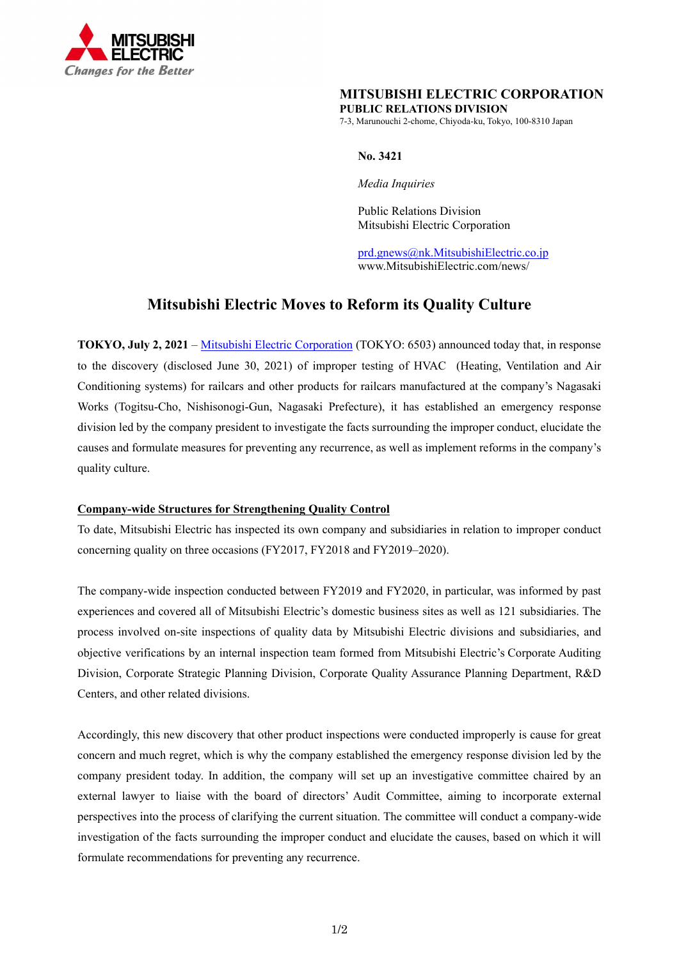

## **MITSUBISHI ELECTRIC CORPORATION PUBLIC RELATIONS DIVISION**

7-3, Marunouchi 2-chome, Chiyoda-ku, Tokyo, 100-8310 Japan

### **No. 3421**

*Media Inquiries* 

Public Relations Division Mitsubishi Electric Corporation

prd.gnews@nk.MitsubishiElectric.co.jp www.MitsubishiElectric.com/news/

# **Mitsubishi Electric Moves to Reform its Quality Culture**

**TOKYO, July 2, 2021** – Mitsubishi Electric Corporation (TOKYO: 6503) announced today that, in response to the discovery (disclosed June 30, 2021) of improper testing of HVAC (Heating, Ventilation and Air Conditioning systems) for railcars and other products for railcars manufactured at the company's Nagasaki Works (Togitsu-Cho, Nishisonogi-Gun, Nagasaki Prefecture), it has established an emergency response division led by the company president to investigate the facts surrounding the improper conduct, elucidate the causes and formulate measures for preventing any recurrence, as well as implement reforms in the company's quality culture.

### **Company-wide Structures for Strengthening Quality Control**

To date, Mitsubishi Electric has inspected its own company and subsidiaries in relation to improper conduct concerning quality on three occasions (FY2017, FY2018 and FY2019–2020).

The company-wide inspection conducted between FY2019 and FY2020, in particular, was informed by past experiences and covered all of Mitsubishi Electric's domestic business sites as well as 121 subsidiaries. The process involved on-site inspections of quality data by Mitsubishi Electric divisions and subsidiaries, and objective verifications by an internal inspection team formed from Mitsubishi Electric's Corporate Auditing Division, Corporate Strategic Planning Division, Corporate Quality Assurance Planning Department, R&D Centers, and other related divisions.

Accordingly, this new discovery that other product inspections were conducted improperly is cause for great concern and much regret, which is why the company established the emergency response division led by the company president today. In addition, the company will set up an investigative committee chaired by an external lawyer to liaise with the board of directors' Audit Committee, aiming to incorporate external perspectives into the process of clarifying the current situation. The committee will conduct a company-wide investigation of the facts surrounding the improper conduct and elucidate the causes, based on which it will formulate recommendations for preventing any recurrence.